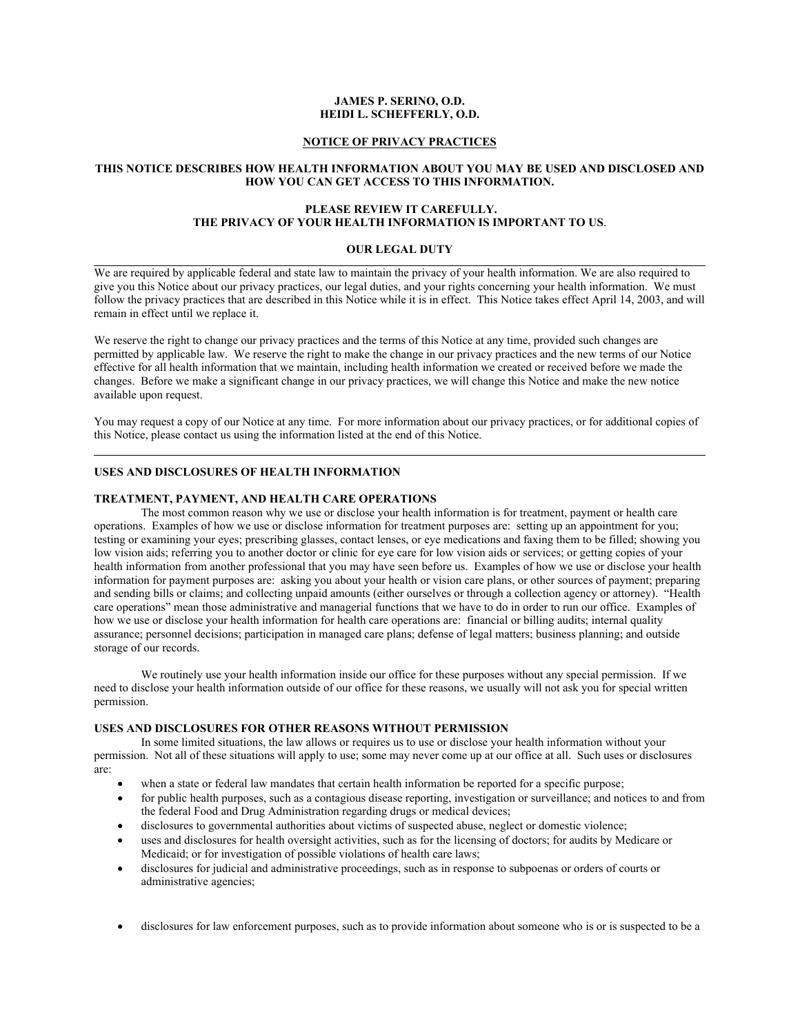# **JAMES P. SERINO, O.D. HEIDI L. SCHEFFERLY, O.D.**

## **NOTICE OF PRIVACY PRACTICES**

## **THIS NOTICE DESCRIBES HOW HEALTH INFORMATION ABOUT YOU MAY BE USED AND DISCLOSED AND HOW YOU CAN GET ACCESS TO THIS INFORMATION.**

# **PLEASE REVIEW IT CAREFULLY. THE PRIVACY OF YOUR HEALTH INFORMATION IS IMPORTANT TO US**.

## **OUR LEGAL DUTY**

We are required by applicable federal and state law to maintain the privacy of your health information. We are also required to give you this Notice about our privacy practices, our legal duties, and your rights concerning your health information. We must follow the privacy practices that are described in this Notice while it is in effect. This Notice takes effect April 14, 2003, and will remain in effect until we replace it.

We reserve the right to change our privacy practices and the terms of this Notice at any time, provided such changes are permitted by applicable law. We reserve the right to make the change in our privacy practices and the new terms of our Notice effective for all health information that we maintain, including health information we created or received before we made the changes. Before we make a significant change in our privacy practices, we will change this Notice and make the new notice available upon request.

You may request a copy of our Notice at any time. For more information about our privacy practices, or for additional copies of this Notice, please contact us using the information listed at the end of this Notice.

## **USES AND DISCLOSURES OF HEALTH INFORMATION**

## **TREATMENT, PAYMENT, AND HEALTH CARE OPERATIONS**

The most common reason why we use or disclose your health information is for treatment, payment or health care operations. Examples of how we use or disclose information for treatment purposes are: setting up an appointment for you; testing or examining your eyes; prescribing glasses, contact lenses, or eye medications and faxing them to be filled; showing you low vision aids; referring you to another doctor or clinic for eye care for low vision aids or services; or getting copies of your health information from another professional that you may have seen before us. Examples of how we use or disclose your health information for payment purposes are: asking you about your health or vision care plans, or other sources of payment; preparing and sending bills or claims; and collecting unpaid amounts (either ourselves or through a collection agency or attorney). "Health care operations" mean those administrative and managerial functions that we have to do in order to run our office. Examples of how we use or disclose your health information for health care operations are: financial or billing audits; internal quality assurance; personnel decisions; participation in managed care plans; defense of legal matters; business planning; and outside storage of our records.

We routinely use your health information inside our office for these purposes without any special permission. If we need to disclose your health information outside of our office for these reasons, we usually will not ask you for special written permission.

# **USES AND DISCLOSURES FOR OTHER REASONS WITHOUT PERMISSION**

In some limited situations, the law allows or requires us to use or disclose your health information without your permission. Not all of these situations will apply to use; some may never come up at our office at all. Such uses or disclosures are:

- when a state or federal law mandates that certain health information be reported for a specific purpose;
- for public health purposes, such as a contagious disease reporting, investigation or surveillance; and notices to and from the federal Food and Drug Administration regarding drugs or medical devices;
- disclosures to governmental authorities about victims of suspected abuse, neglect or domestic violence;
- uses and disclosures for health oversight activities, such as for the licensing of doctors; for audits by Medicare or Medicaid; or for investigation of possible violations of health care laws;
- disclosures for judicial and administrative proceedings, such as in response to subpoenas or orders of courts or administrative agencies;
- disclosures for law enforcement purposes, such as to provide information about someone who is or is suspected to be a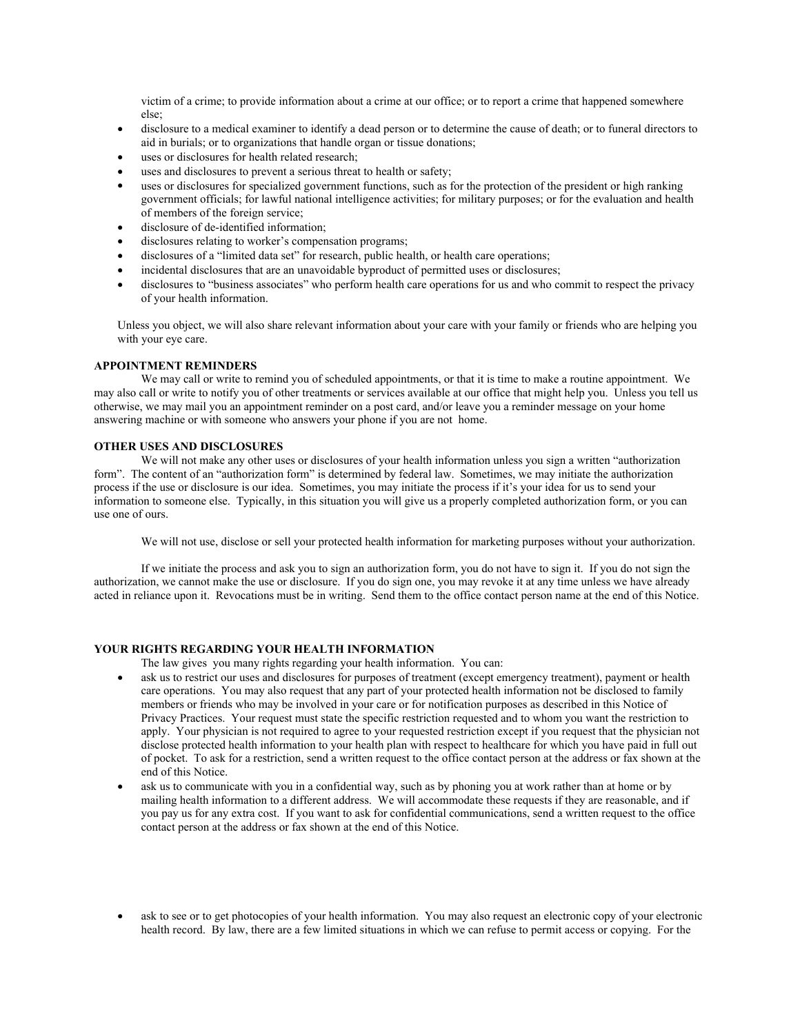victim of a crime; to provide information about a crime at our office; or to report a crime that happened somewhere else;

- disclosure to a medical examiner to identify a dead person or to determine the cause of death; or to funeral directors to aid in burials; or to organizations that handle organ or tissue donations;
- uses or disclosures for health related research;
- uses and disclosures to prevent a serious threat to health or safety;
- uses or disclosures for specialized government functions, such as for the protection of the president or high ranking government officials; for lawful national intelligence activities; for military purposes; or for the evaluation and health of members of the foreign service;
- disclosure of de-identified information;
- disclosures relating to worker's compensation programs;
- disclosures of a "limited data set" for research, public health, or health care operations;
- incidental disclosures that are an unavoidable byproduct of permitted uses or disclosures;
- disclosures to "business associates" who perform health care operations for us and who commit to respect the privacy of your health information.

Unless you object, we will also share relevant information about your care with your family or friends who are helping you with your eye care.

## **APPOINTMENT REMINDERS**

We may call or write to remind you of scheduled appointments, or that it is time to make a routine appointment. We may also call or write to notify you of other treatments or services available at our office that might help you. Unless you tell us otherwise, we may mail you an appointment reminder on a post card, and/or leave you a reminder message on your home answering machine or with someone who answers your phone if you are not home.

## **OTHER USES AND DISCLOSURES**

We will not make any other uses or disclosures of your health information unless you sign a written "authorization form". The content of an "authorization form" is determined by federal law. Sometimes, we may initiate the authorization process if the use or disclosure is our idea. Sometimes, you may initiate the process if it's your idea for us to send your information to someone else. Typically, in this situation you will give us a properly completed authorization form, or you can use one of ours.

We will not use, disclose or sell your protected health information for marketing purposes without your authorization.

If we initiate the process and ask you to sign an authorization form, you do not have to sign it. If you do not sign the authorization, we cannot make the use or disclosure. If you do sign one, you may revoke it at any time unless we have already acted in reliance upon it. Revocations must be in writing. Send them to the office contact person name at the end of this Notice.

## **YOUR RIGHTS REGARDING YOUR HEALTH INFORMATION**

The law gives you many rights regarding your health information. You can:

- ask us to restrict our uses and disclosures for purposes of treatment (except emergency treatment), payment or health care operations. You may also request that any part of your protected health information not be disclosed to family members or friends who may be involved in your care or for notification purposes as described in this Notice of Privacy Practices. Your request must state the specific restriction requested and to whom you want the restriction to apply. Your physician is not required to agree to your requested restriction except if you request that the physician not disclose protected health information to your health plan with respect to healthcare for which you have paid in full out of pocket. To ask for a restriction, send a written request to the office contact person at the address or fax shown at the end of this Notice.
- ask us to communicate with you in a confidential way, such as by phoning you at work rather than at home or by mailing health information to a different address. We will accommodate these requests if they are reasonable, and if you pay us for any extra cost. If you want to ask for confidential communications, send a written request to the office contact person at the address or fax shown at the end of this Notice.
- ask to see or to get photocopies of your health information. You may also request an electronic copy of your electronic health record. By law, there are a few limited situations in which we can refuse to permit access or copying. For the